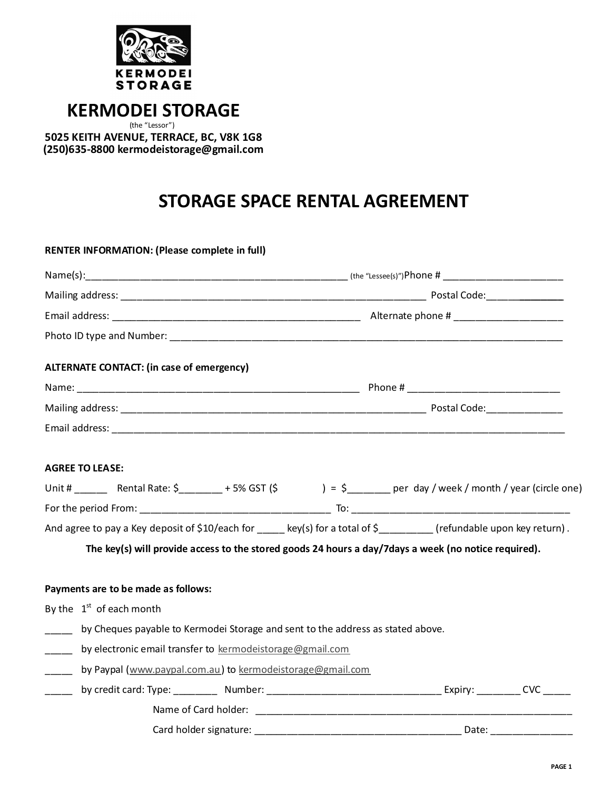

## **KERMODEI
STORAGE**

(the
"Lessor") **5025
KEITH AVENUE,
TERRACE,
BC,
V8K
1G8 (250)635‑8800
kermodeistorage@gmail.com**

# **STORAGE
SPACE
RENTAL
AGREEMENT**

|                          | <b>RENTER INFORMATION: (Please complete in full)</b>                            |  |  |                                                                                                                               |  |
|--------------------------|---------------------------------------------------------------------------------|--|--|-------------------------------------------------------------------------------------------------------------------------------|--|
|                          |                                                                                 |  |  |                                                                                                                               |  |
|                          |                                                                                 |  |  |                                                                                                                               |  |
|                          |                                                                                 |  |  |                                                                                                                               |  |
|                          |                                                                                 |  |  |                                                                                                                               |  |
|                          | <b>ALTERNATE CONTACT: (in case of emergency)</b>                                |  |  |                                                                                                                               |  |
|                          |                                                                                 |  |  |                                                                                                                               |  |
|                          |                                                                                 |  |  |                                                                                                                               |  |
|                          |                                                                                 |  |  |                                                                                                                               |  |
|                          | <b>AGREE TO LEASE:</b>                                                          |  |  | Unit # _________ Rental Rate: $\zeta$ _________ + 5% GST (\$ ) = $\zeta$ ________ per day / week / month / year (circle one)  |  |
|                          |                                                                                 |  |  |                                                                                                                               |  |
|                          |                                                                                 |  |  | And agree to pay a Key deposit of \$10/each for $\_\_\_\$ key(s) for a total of \$ $\_\_\_\_\_\$ refundable upon key return). |  |
|                          |                                                                                 |  |  | The key(s) will provide access to the stored goods 24 hours a day/7days a week (no notice required).                          |  |
|                          | Payments are to be made as follows:                                             |  |  |                                                                                                                               |  |
|                          | By the $1st$ of each month                                                      |  |  |                                                                                                                               |  |
| $\overline{\phantom{a}}$ | by Cheques payable to Kermodei Storage and sent to the address as stated above. |  |  |                                                                                                                               |  |
|                          | by electronic email transfer to kermodeistorage@gmail.com                       |  |  |                                                                                                                               |  |
| $\overline{\phantom{a}}$ |                                                                                 |  |  |                                                                                                                               |  |
|                          | by Paypal (www.paypal.com.au) to kermodeistorage@gmail.com                      |  |  |                                                                                                                               |  |
| $\overline{\phantom{a}}$ |                                                                                 |  |  |                                                                                                                               |  |

Card
holder
signature: \_\_\_\_\_\_\_\_\_\_\_\_\_\_\_\_\_\_\_\_\_\_\_\_\_\_\_\_\_\_\_\_\_\_\_\_\_\_
Date: \_\_\_\_\_\_\_\_\_\_\_\_\_\_\_